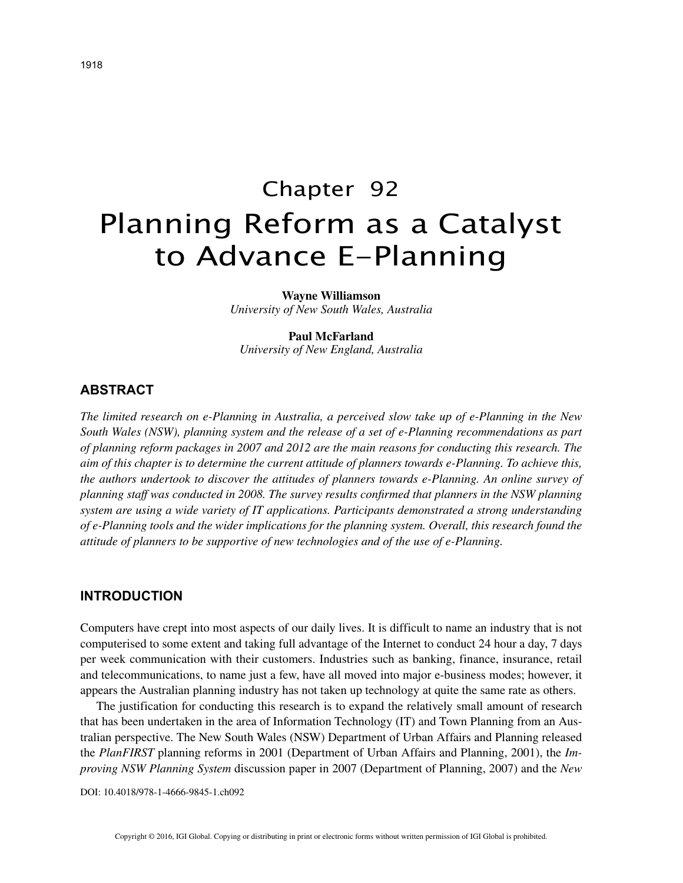# Chapter 92 Planning Reform as a Catalyst to Advance E-Planning

#### **Wayne Williamson**

*University of New South Wales, Australia*

## **Paul McFarland**

*University of New England, Australia*

## **ABSTRACT**

*The limited research on e-Planning in Australia, a perceived slow take up of e-Planning in the New South Wales (NSW), planning system and the release of a set of e-Planning recommendations as part of planning reform packages in 2007 and 2012 are the main reasons for conducting this research. The aim of this chapter is to determine the current attitude of planners towards e-Planning. To achieve this, the authors undertook to discover the attitudes of planners towards e-Planning. An online survey of planning staff was conducted in 2008. The survey results confirmed that planners in the NSW planning system are using a wide variety of IT applications. Participants demonstrated a strong understanding of e-Planning tools and the wider implications for the planning system. Overall, this research found the attitude of planners to be supportive of new technologies and of the use of e-Planning.*

# **INTRODUCTION**

Computers have crept into most aspects of our daily lives. It is difficult to name an industry that is not computerised to some extent and taking full advantage of the Internet to conduct 24 hour a day, 7 days per week communication with their customers. Industries such as banking, finance, insurance, retail and telecommunications, to name just a few, have all moved into major e-business modes; however, it appears the Australian planning industry has not taken up technology at quite the same rate as others.

The justification for conducting this research is to expand the relatively small amount of research that has been undertaken in the area of Information Technology (IT) and Town Planning from an Australian perspective. The New South Wales (NSW) Department of Urban Affairs and Planning released the *PlanFIRST* planning reforms in 2001 (Department of Urban Affairs and Planning, 2001), the *Improving NSW Planning System* discussion paper in 2007 (Department of Planning, 2007) and the *New* 

DOI: 10.4018/978-1-4666-9845-1.ch092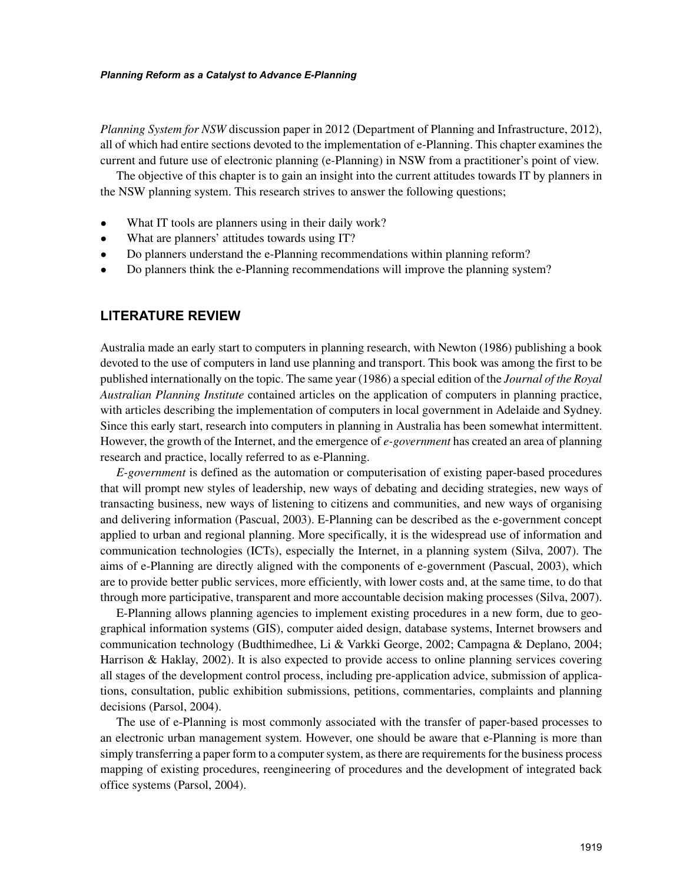#### *Planning Reform as a Catalyst to Advance E-Planning*

*Planning System for NSW* discussion paper in 2012 (Department of Planning and Infrastructure, 2012), all of which had entire sections devoted to the implementation of e-Planning. This chapter examines the current and future use of electronic planning (e-Planning) in NSW from a practitioner's point of view.

The objective of this chapter is to gain an insight into the current attitudes towards IT by planners in the NSW planning system. This research strives to answer the following questions;

- What IT tools are planners using in their daily work?
- What are planners' attitudes towards using IT?
- Do planners understand the e-Planning recommendations within planning reform?
- Do planners think the e-Planning recommendations will improve the planning system?

# **LITERATURE REVIEW**

Australia made an early start to computers in planning research, with Newton (1986) publishing a book devoted to the use of computers in land use planning and transport. This book was among the first to be published internationally on the topic. The same year (1986) a special edition of the *Journal of the Royal Australian Planning Institute* contained articles on the application of computers in planning practice, with articles describing the implementation of computers in local government in Adelaide and Sydney. Since this early start, research into computers in planning in Australia has been somewhat intermittent. However, the growth of the Internet, and the emergence of *e-government* has created an area of planning research and practice, locally referred to as e-Planning.

*E-government* is defined as the automation or computerisation of existing paper-based procedures that will prompt new styles of leadership, new ways of debating and deciding strategies, new ways of transacting business, new ways of listening to citizens and communities, and new ways of organising and delivering information (Pascual, 2003). E-Planning can be described as the e-government concept applied to urban and regional planning. More specifically, it is the widespread use of information and communication technologies (ICTs), especially the Internet, in a planning system (Silva, 2007). The aims of e-Planning are directly aligned with the components of e-government (Pascual, 2003), which are to provide better public services, more efficiently, with lower costs and, at the same time, to do that through more participative, transparent and more accountable decision making processes (Silva, 2007).

E-Planning allows planning agencies to implement existing procedures in a new form, due to geographical information systems (GIS), computer aided design, database systems, Internet browsers and communication technology (Budthimedhee, Li & Varkki George, 2002; Campagna & Deplano, 2004; Harrison & Haklay, 2002). It is also expected to provide access to online planning services covering all stages of the development control process, including pre-application advice, submission of applications, consultation, public exhibition submissions, petitions, commentaries, complaints and planning decisions (Parsol, 2004).

The use of e-Planning is most commonly associated with the transfer of paper-based processes to an electronic urban management system. However, one should be aware that e-Planning is more than simply transferring a paper form to a computer system, as there are requirements for the business process mapping of existing procedures, reengineering of procedures and the development of integrated back office systems (Parsol, 2004).